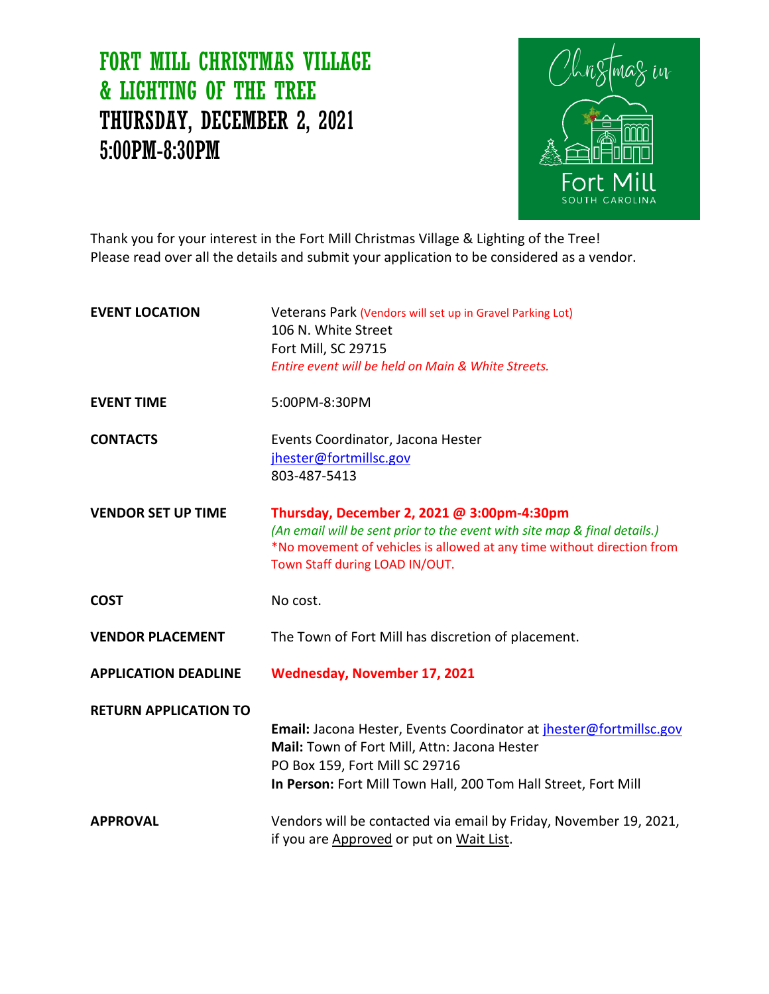# FORT MILL CHRISTMAS VILLAGE & LIGHTING OF THE TREE THURSDAY, DECEMBER 2, 2021 5:00PM-8:30PM



Thank you for your interest in the Fort Mill Christmas Village & Lighting of the Tree! Please read over all the details and submit your application to be considered as a vendor.

| <b>EVENT LOCATION</b>        | Veterans Park (Vendors will set up in Gravel Parking Lot)<br>106 N. White Street<br>Fort Mill, SC 29715                                                                                                                             |
|------------------------------|-------------------------------------------------------------------------------------------------------------------------------------------------------------------------------------------------------------------------------------|
|                              | Entire event will be held on Main & White Streets.                                                                                                                                                                                  |
| <b>EVENT TIME</b>            | 5:00PM-8:30PM                                                                                                                                                                                                                       |
| <b>CONTACTS</b>              | Events Coordinator, Jacona Hester<br>jhester@fortmillsc.gov<br>803-487-5413                                                                                                                                                         |
| <b>VENDOR SET UP TIME</b>    | Thursday, December 2, 2021 @ 3:00pm-4:30pm<br>(An email will be sent prior to the event with site map & final details.)<br>*No movement of vehicles is allowed at any time without direction from<br>Town Staff during LOAD IN/OUT. |
| <b>COST</b>                  | No cost.                                                                                                                                                                                                                            |
| <b>VENDOR PLACEMENT</b>      | The Town of Fort Mill has discretion of placement.                                                                                                                                                                                  |
| <b>APPLICATION DEADLINE</b>  | <b>Wednesday, November 17, 2021</b>                                                                                                                                                                                                 |
| <b>RETURN APPLICATION TO</b> | Email: Jacona Hester, Events Coordinator at <i>ihester@fortmillsc.gov</i><br>Mail: Town of Fort Mill, Attn: Jacona Hester<br>PO Box 159, Fort Mill SC 29716<br>In Person: Fort Mill Town Hall, 200 Tom Hall Street, Fort Mill       |
| <b>APPROVAL</b>              | Vendors will be contacted via email by Friday, November 19, 2021,<br>if you are Approved or put on Wait List.                                                                                                                       |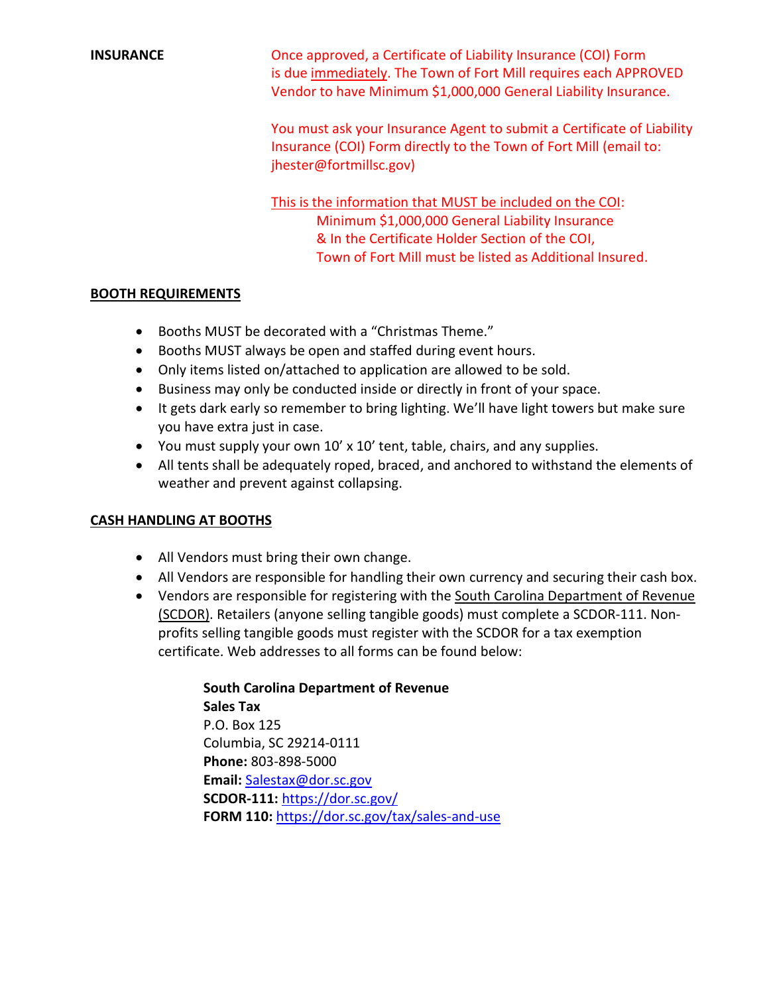**INSURANCE CONSURGE CONSUMPTER A CERTIFICATE OF LIABILITY INSURANCE COI**) Form is due immediately. The Town of Fort Mill requires each APPROVED Vendor to have Minimum \$1,000,000 General Liability Insurance.

> You must ask your Insurance Agent to submit a Certificate of Liability Insurance (COI) Form directly to the Town of Fort Mill (email to: jhester@fortmillsc.gov)

This is the information that MUST be included on the COI: Minimum \$1,000,000 General Liability Insurance & In the Certificate Holder Section of the COI, Town of Fort Mill must be listed as Additional Insured.

# **BOOTH REQUIREMENTS**

- Booths MUST be decorated with a "Christmas Theme."
- Booths MUST always be open and staffed during event hours.
- Only items listed on/attached to application are allowed to be sold.
- Business may only be conducted inside or directly in front of your space.
- It gets dark early so remember to bring lighting. We'll have light towers but make sure you have extra just in case.
- You must supply your own 10' x 10' tent, table, chairs, and any supplies.
- All tents shall be adequately roped, braced, and anchored to withstand the elements of weather and prevent against collapsing.

# **CASH HANDLING AT BOOTHS**

- All Vendors must bring their own change.
- All Vendors are responsible for handling their own currency and securing their cash box.
- Vendors are responsible for registering with the South Carolina Department of Revenue (SCDOR). Retailers (anyone selling tangible goods) must complete a SCDOR-111. Nonprofits selling tangible goods must register with the SCDOR for a tax exemption certificate. Web addresses to all forms can be found below:

**South Carolina Department of Revenue Sales Tax** P.O. Box 125 Columbia, SC 29214-0111 **Phone:** 803-898-5000 **Email:** [Salestax@dor.sc.gov](mailto:Salestax@dor.sc.gov) **SCDOR-111:** <https://dor.sc.gov/> **FORM 110:** <https://dor.sc.gov/tax/sales-and-use>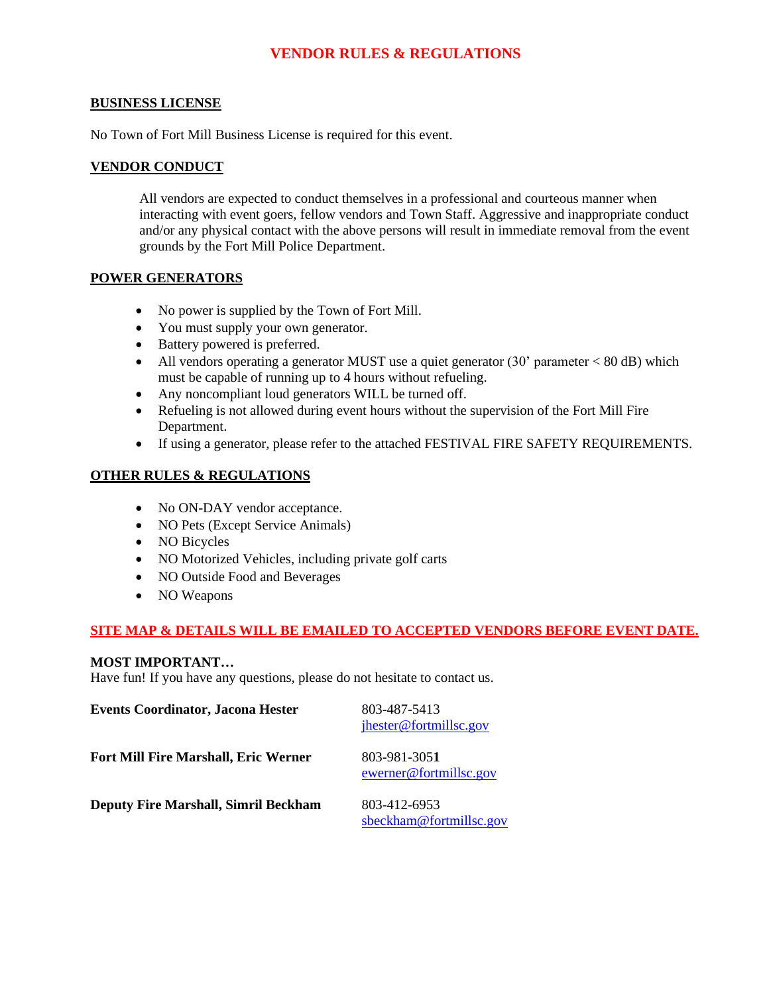# **VENDOR RULES & REGULATIONS**

# **BUSINESS LICENSE**

No Town of Fort Mill Business License is required for this event.

# **VENDOR CONDUCT**

All vendors are expected to conduct themselves in a professional and courteous manner when interacting with event goers, fellow vendors and Town Staff. Aggressive and inappropriate conduct and/or any physical contact with the above persons will result in immediate removal from the event grounds by the Fort Mill Police Department.

# **POWER GENERATORS**

- No power is supplied by the Town of Fort Mill.
- You must supply your own generator.
- Battery powered is preferred.
- All vendors operating a generator MUST use a quiet generator  $(30'$  parameter  $< 80$  dB) which must be capable of running up to 4 hours without refueling.
- Any noncompliant loud generators WILL be turned off.
- Refueling is not allowed during event hours without the supervision of the Fort Mill Fire Department.
- If using a generator, please refer to the attached FESTIVAL FIRE SAFETY REQUIREMENTS.

# **OTHER RULES & REGULATIONS**

- No ON-DAY vendor acceptance.
- NO Pets (Except Service Animals)
- NO Bicycles
- NO Motorized Vehicles, including private golf carts
- NO Outside Food and Beverages
- NO Weapons

# **SITE MAP & DETAILS WILL BE EMAILED TO ACCEPTED VENDORS BEFORE EVENT DATE.**

# **MOST IMPORTANT…**

Have fun! If you have any questions, please do not hesitate to contact us.

| <b>Events Coordinator, Jacona Hester</b>    | 803-487-5413<br>jhester@fortmillsc.gov  |
|---------------------------------------------|-----------------------------------------|
| <b>Fort Mill Fire Marshall, Eric Werner</b> | 803-981-3051<br>ewerner@fortmillsc.gov  |
| <b>Deputy Fire Marshall, Simril Beckham</b> | 803-412-6953<br>sbeckham@fortmillsc.gov |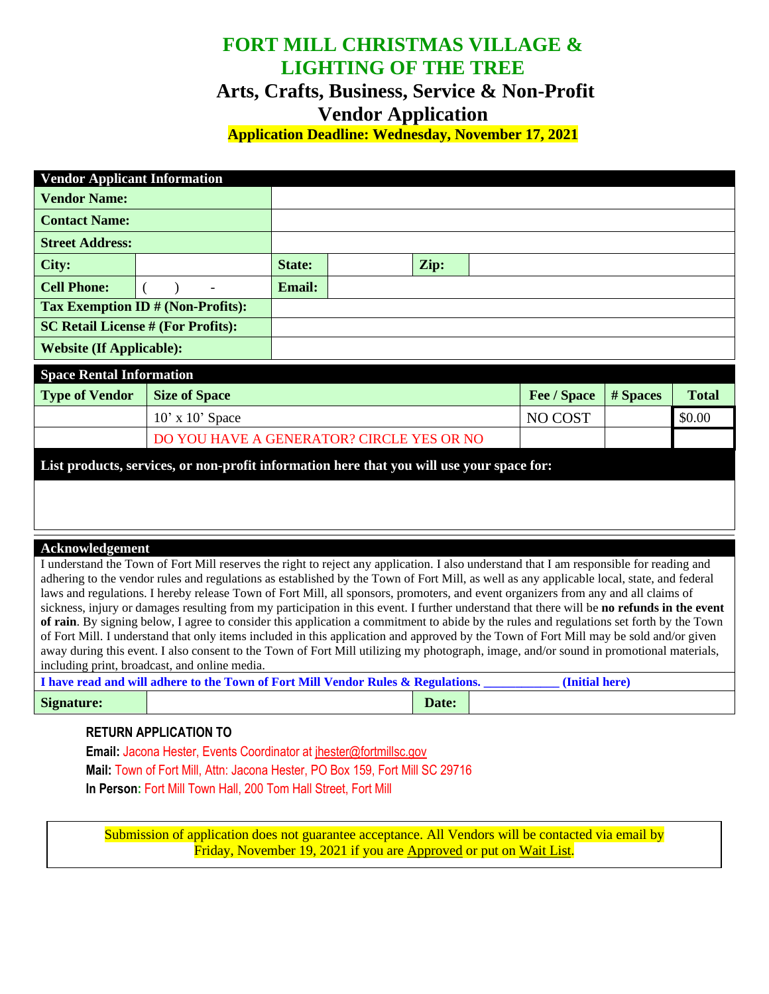# **FORT MILL CHRISTMAS VILLAGE & LIGHTING OF THE TREE**

# **Arts, Crafts, Business, Service & Non-Profit Vendor Application**

**Application Deadline: Wednesday, November 17, 2021**

| <b>Vendor Applicant Information</b>       |                                                                                                                                                                                                                                                                                       |               |  |      |  |             |          |              |
|-------------------------------------------|---------------------------------------------------------------------------------------------------------------------------------------------------------------------------------------------------------------------------------------------------------------------------------------|---------------|--|------|--|-------------|----------|--------------|
| <b>Vendor Name:</b>                       |                                                                                                                                                                                                                                                                                       |               |  |      |  |             |          |              |
| <b>Contact Name:</b>                      |                                                                                                                                                                                                                                                                                       |               |  |      |  |             |          |              |
| <b>Street Address:</b>                    |                                                                                                                                                                                                                                                                                       |               |  |      |  |             |          |              |
| City:                                     |                                                                                                                                                                                                                                                                                       | <b>State:</b> |  | Zip: |  |             |          |              |
| <b>Cell Phone:</b>                        |                                                                                                                                                                                                                                                                                       | <b>Email:</b> |  |      |  |             |          |              |
|                                           | Tax Exemption ID # (Non-Profits):                                                                                                                                                                                                                                                     |               |  |      |  |             |          |              |
| <b>SC Retail License # (For Profits):</b> |                                                                                                                                                                                                                                                                                       |               |  |      |  |             |          |              |
| <b>Website (If Applicable):</b>           |                                                                                                                                                                                                                                                                                       |               |  |      |  |             |          |              |
| <b>Space Rental Information</b>           |                                                                                                                                                                                                                                                                                       |               |  |      |  |             |          |              |
|                                           |                                                                                                                                                                                                                                                                                       |               |  |      |  |             |          |              |
| <b>Type of Vendor</b>                     | <b>Size of Space</b>                                                                                                                                                                                                                                                                  |               |  |      |  | Fee / Space | # Spaces | <b>Total</b> |
|                                           | $10'$ x $10'$ Space                                                                                                                                                                                                                                                                   |               |  |      |  | NO COST     |          | \$0.00       |
|                                           | DO YOU HAVE A GENERATOR? CIRCLE YES OR NO                                                                                                                                                                                                                                             |               |  |      |  |             |          |              |
|                                           | List products, services, or non-profit information here that you will use your space for:                                                                                                                                                                                             |               |  |      |  |             |          |              |
|                                           |                                                                                                                                                                                                                                                                                       |               |  |      |  |             |          |              |
|                                           |                                                                                                                                                                                                                                                                                       |               |  |      |  |             |          |              |
|                                           |                                                                                                                                                                                                                                                                                       |               |  |      |  |             |          |              |
| Acknowledgement                           |                                                                                                                                                                                                                                                                                       |               |  |      |  |             |          |              |
|                                           | I understand the Town of Fort Mill reserves the right to reject any application. I also understand that I am responsible for reading and<br>adhering to the vendor rules and regulations as established by the Town of Fort Mill, as well as any applicable local, state, and federal |               |  |      |  |             |          |              |

tions. I hereby release Town of Fort Mill, all sponsors, promoters, and event organizers from any and all claims of sickness, injury or damages resulting from my participation in this event. I further understand that there will be **no refunds in the event of rain**. By signing below, I agree to consider this application a commitment to abide by the rules and regulations set forth by the Town of Fort Mill. I understand that only items included in this application and approved by the Town of Fort Mill may be sold and/or given away during this event. I also consent to the Town of Fort Mill utilizing my photograph, image, and/or sound in promotional materials, including print, broadcast, and online media.

|            | I have read and will adhere to the Town of Fort Mill Vendor Rules & Regulations.<br>(Initial here) |       |  |  |  |  |
|------------|----------------------------------------------------------------------------------------------------|-------|--|--|--|--|
| Signature: |                                                                                                    | Date: |  |  |  |  |

# **RETURN APPLICATION TO**

**Email:** Jacona Hester, Events Coordinator at jhester@fortmillsc.gov **Mail:** Town of Fort Mill, Attn: Jacona Hester, PO Box 159, Fort Mill SC 29716 **In Person:** Fort Mill Town Hall, 200 Tom Hall Street, Fort Mill

Submission of application does not guarantee acceptance. All Vendors will be contacted via email by Friday, November 19, 2021 if you are Approved or put on Wait List.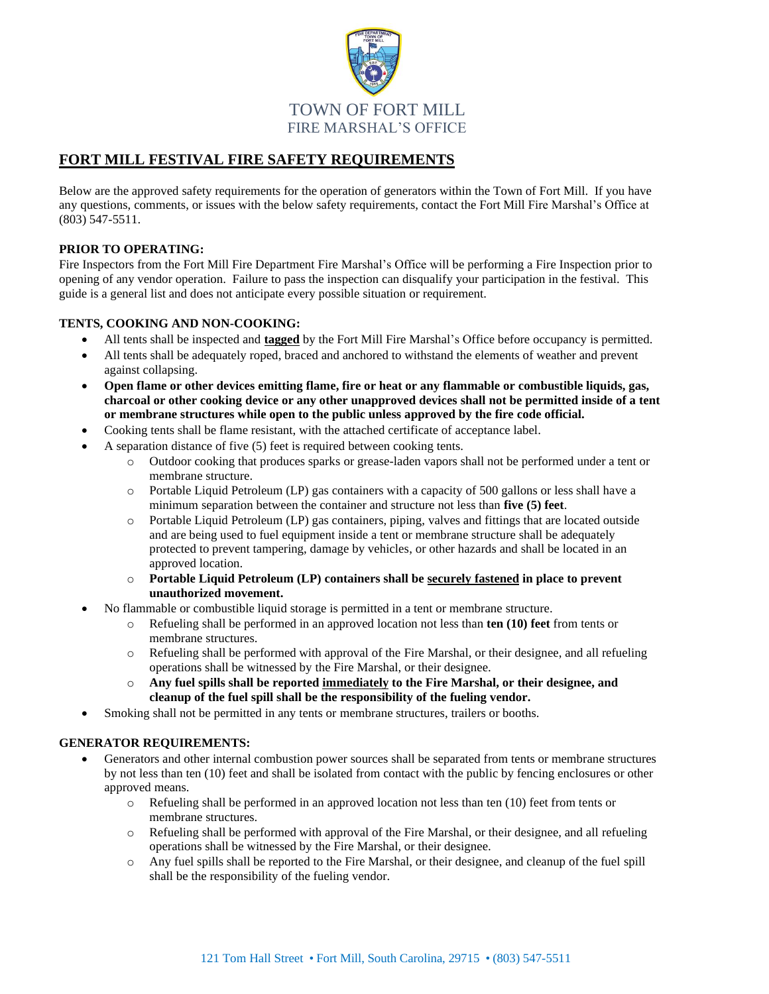

# **FORT MILL FESTIVAL FIRE SAFETY REQUIREMENTS**

Below are the approved safety requirements for the operation of generators within the Town of Fort Mill. If you have any questions, comments, or issues with the below safety requirements, contact the Fort Mill Fire Marshal's Office at (803) 547-5511.

### **PRIOR TO OPERATING:**

Fire Inspectors from the Fort Mill Fire Department Fire Marshal's Office will be performing a Fire Inspection prior to opening of any vendor operation. Failure to pass the inspection can disqualify your participation in the festival. This guide is a general list and does not anticipate every possible situation or requirement.

### **TENTS, COOKING AND NON-COOKING:**

- All tents shall be inspected and **tagged** by the Fort Mill Fire Marshal's Office before occupancy is permitted.
- All tents shall be adequately roped, braced and anchored to withstand the elements of weather and prevent against collapsing.
- **Open flame or other devices emitting flame, fire or heat or any flammable or combustible liquids, gas, charcoal or other cooking device or any other unapproved devices shall not be permitted inside of a tent or membrane structures while open to the public unless approved by the fire code official.**
- Cooking tents shall be flame resistant, with the attached certificate of acceptance label.
- A separation distance of five (5) feet is required between cooking tents.
	- o Outdoor cooking that produces sparks or grease-laden vapors shall not be performed under a tent or membrane structure.
	- o Portable Liquid Petroleum (LP) gas containers with a capacity of 500 gallons or less shall have a minimum separation between the container and structure not less than **five (5) feet**.
	- o Portable Liquid Petroleum (LP) gas containers, piping, valves and fittings that are located outside and are being used to fuel equipment inside a tent or membrane structure shall be adequately protected to prevent tampering, damage by vehicles, or other hazards and shall be located in an approved location.
	- o **Portable Liquid Petroleum (LP) containers shall be securely fastened in place to prevent unauthorized movement.**
- No flammable or combustible liquid storage is permitted in a tent or membrane structure.
	- o Refueling shall be performed in an approved location not less than **ten (10) feet** from tents or membrane structures.
	- o Refueling shall be performed with approval of the Fire Marshal, or their designee, and all refueling operations shall be witnessed by the Fire Marshal, or their designee.
	- o **Any fuel spills shall be reported immediately to the Fire Marshal, or their designee, and cleanup of the fuel spill shall be the responsibility of the fueling vendor.**
- Smoking shall not be permitted in any tents or membrane structures, trailers or booths.

### **GENERATOR REQUIREMENTS:**

- Generators and other internal combustion power sources shall be separated from tents or membrane structures by not less than ten (10) feet and shall be isolated from contact with the public by fencing enclosures or other approved means.
	- o Refueling shall be performed in an approved location not less than ten (10) feet from tents or membrane structures.
	- o Refueling shall be performed with approval of the Fire Marshal, or their designee, and all refueling operations shall be witnessed by the Fire Marshal, or their designee.
	- o Any fuel spills shall be reported to the Fire Marshal, or their designee, and cleanup of the fuel spill shall be the responsibility of the fueling vendor.